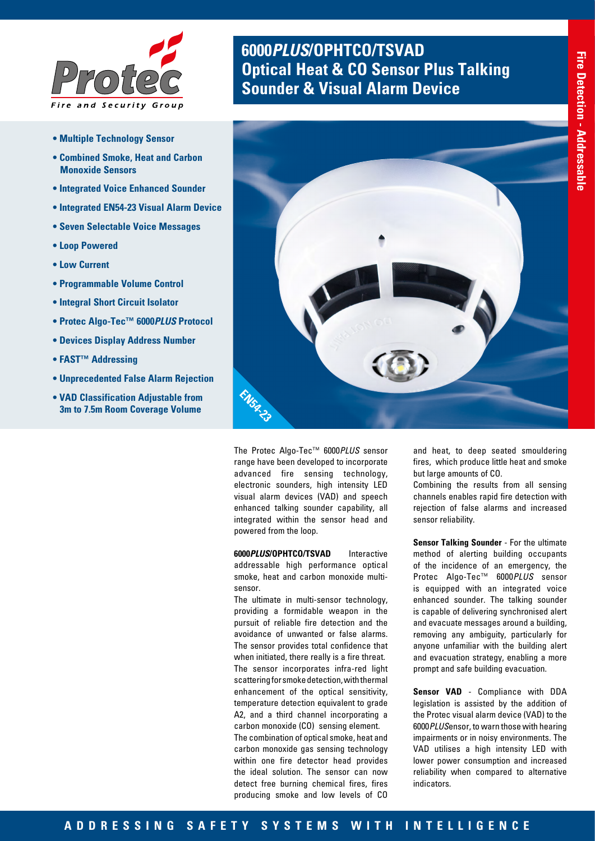

- **Multiple Technology Sensor**
- **Combined Smoke, Heat and Carbon Monoxide Sensors**
- **Integrated Voice Enhanced Sounder**
- **Integrated EN54-23 Visual Alarm Device**
- **Seven Selectable Voice Messages**
- **Loop Powered**
- **Low Current**
- **Programmable Volume Control**
- **Integral Short Circuit Isolator**
- **Protec Algo-Tec™ 6000***PLUS* **Protocol**
- **Devices Display Address Number**
- **FAST™ Addressing**
- **Unprecedented False Alarm Rejection**
- **VAD Classification Adjustable from 3m to 7.5m Room Coverage Volume**

# **6000***PLUS***/OPHTCO/TSVAD Optical Heat & CO Sensor Plus Talking Sounder & Visual Alarm Device**



The Protec Algo-Tec™ 6000*PLUS* sensor range have been developed to incorporate advanced fire sensing technology, electronic sounders, high intensity LED visual alarm devices (VAD) and speech enhanced talking sounder capability, all integrated within the sensor head and powered from the loop.

**6000***PLUS***/OPHTCO/TSVAD** Interactive addressable high performance optical smoke, heat and carbon monoxide multisensor.

The ultimate in multi-sensor technology, providing a formidable weapon in the pursuit of reliable fire detection and the avoidance of unwanted or false alarms. The sensor provides total confidence that when initiated, there really is a fire threat. The sensor incorporates infra-red light scattering for smoke detection, with thermal enhancement of the optical sensitivity, temperature detection equivalent to grade A2, and a third channel incorporating a carbon monoxide (CO) sensing element. The combination of optical smoke, heat and carbon monoxide gas sensing technology within one fire detector head provides the ideal solution. The sensor can now detect free burning chemical fires, fires producing smoke and low levels of CO

and heat, to deep seated smouldering fires, which produce little heat and smoke but large amounts of CO.

Combining the results from all sensing channels enables rapid fire detection with rejection of false alarms and increased sensor reliability.

**Sensor Talking Sounder** - For the ultimate method of alerting building occupants of the incidence of an emergency, the Protec Algo-Tec™ 6000*PLUS* sensor is equipped with an integrated voice enhanced sounder. The talking sounder is capable of delivering synchronised alert and evacuate messages around a building, removing any ambiguity, particularly for anyone unfamiliar with the building alert and evacuation strategy, enabling a more prompt and safe building evacuation.

**Sensor VAD** - Compliance with DDA legislation is assisted by the addition of the Protec visual alarm device (VAD) to the 6000*PLUS*ensor, to warn those with hearing impairments or in noisy environments. The VAD utilises a high intensity LED with lower power consumption and increased reliability when compared to alternative indicators.